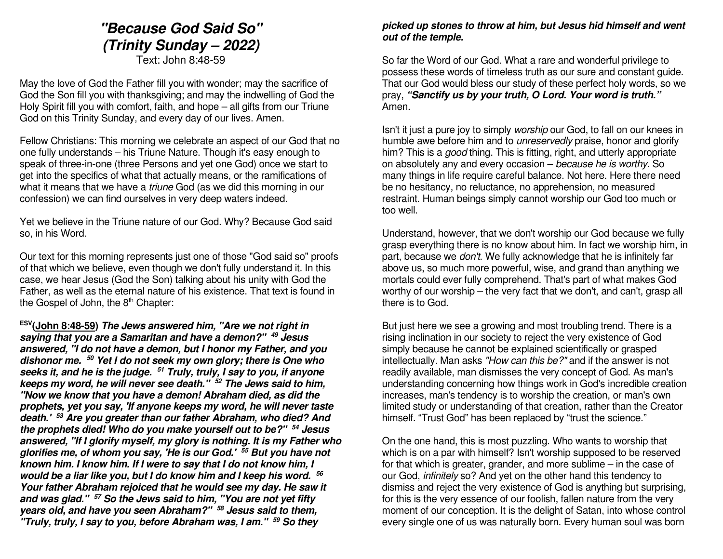# **"Because God Said So" (Trinity Sunday – 2022)**

Text: John 8:48-59

May the love of God the Father fill you with wonder; may the sacrifice of God the Son fill you with thanksgiving; and may the indwelling of God the Holy Spirit fill you with comfort, faith, and hope – all gifts from our Triune God on this Trinity Sunday, and every day of our lives. Amen.

Fellow Christians: This morning we celebrate an aspect of our God that no one fully understands – his Triune Nature. Though it's easy enough to speak of three-in-one (three Persons and yet one God) once we start to get into the specifics of what that actually means, or the ramifications of what it means that we have a *triune* God (as we did this morning in our confession) we can find ourselves in very deep waters indeed.

Yet we believe in the Triune nature of our God. Why? Because God said so, in his Word.

Our text for this morning represents just one of those "God said so" proofs of that which we believe, even though we don't fully understand it. In this case, we hear Jesus (God the Son) talking about his unity with God the Father, as well as the eternal nature of his existence. That text is found in the Gospel of John, the  $8<sup>th</sup>$  Chapter:

**ESV(John 8:48-59) The Jews answered him, "Are we not right in saying that you are a Samaritan and have a demon?" <sup>49</sup> Jesus answered, "I do not have a demon, but I honor my Father, and you dishonor me. <sup>50</sup> Yet I do not seek my own glory; there is One who seeks it, and he is the judge. 51 Truly, truly, I say to you, if anyone keeps my word, he will never see death." 52 The Jews said to him, "Now we know that you have a demon! Abraham died, as did the prophets, yet you say, 'If anyone keeps my word, he will never taste death.' <sup>53</sup> Are you greater than our father Abraham, who died? And the prophets died! Who do you make yourself out to be?" <sup>54</sup> Jesus answered, "If I glorify myself, my glory is nothing. It is my Father who glorifies me, of whom you say, 'He is our God.' 55 But you have not known him. I know him. If I were to say that I do not know him, I would be a liar like you, but I do know him and I keep his word. <sup>56</sup> Your father Abraham rejoiced that he would see my day. He saw it and was glad." 57 So the Jews said to him, "You are not yet fifty years old, and have you seen Abraham?" 58 Jesus said to them, "Truly, truly, I say to you, before Abraham was, I am." 59 So they** 

#### **picked up stones to throw at him, but Jesus hid himself and went out of the temple.**

So far the Word of our God. What a rare and wonderful privilege to possess these words of timeless truth as our sure and constant guide. That our God would bless our study of these perfect holy words, so we pray, **"Sanctify us by your truth, O Lord. Your word is truth."** Amen.

Isn't it just a pure joy to simply worship our God, to fall on our knees in humble awe before him and to *unreservedly* praise, honor and glorify him? This is a good thing. This is fitting, right, and utterly appropriate on absolutely any and every occasion – because he is worthy. So many things in life require careful balance. Not here. Here there need be no hesitancy, no reluctance, no apprehension, no measured restraint. Human beings simply cannot worship our God too much or too well.

Understand, however, that we don't worship our God because we fully grasp everything there is no know about him. In fact we worship him, in part, because we don't. We fully acknowledge that he is infinitely far above us, so much more powerful, wise, and grand than anything we mortals could ever fully comprehend. That's part of what makes God worthy of our worship – the very fact that we don't, and can't, grasp all there is to God.

But just here we see a growing and most troubling trend. There is a rising inclination in our society to reject the very existence of God simply because he cannot be explained scientifically or grasped intellectually. Man asks "How can this be?" and if the answer is not readily available, man dismisses the very concept of God. As man's understanding concerning how things work in God's incredible creation increases, man's tendency is to worship the creation, or man's own limited study or understanding of that creation, rather than the Creator himself. "Trust God" has been replaced by "trust the science."

On the one hand, this is most puzzling. Who wants to worship that which is on a par with himself? Isn't worship supposed to be reserved for that which is greater, grander, and more sublime – in the case of our God, infinitely so? And yet on the other hand this tendency to dismiss and reject the very existence of God is anything but surprising, for this is the very essence of our foolish, fallen nature from the very moment of our conception. It is the delight of Satan, into whose control every single one of us was naturally born. Every human soul was born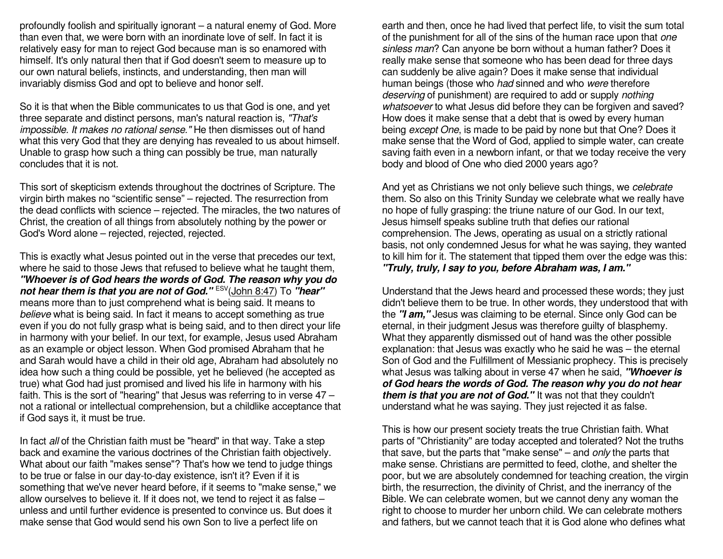profoundly foolish and spiritually ignorant – a natural enemy of God. More than even that, we were born with an inordinate love of self. In fact it is relatively easy for man to reject God because man is so enamored with himself. It's only natural then that if God doesn't seem to measure up to our own natural beliefs, instincts, and understanding, then man will invariably dismiss God and opt to believe and honor self.

So it is that when the Bible communicates to us that God is one, and yet three separate and distinct persons, man's natural reaction is, "That's impossible. It makes no rational sense." He then dismisses out of hand what this very God that they are denying has revealed to us about himself. Unable to grasp how such a thing can possibly be true, man naturally concludes that it is not.

This sort of skepticism extends throughout the doctrines of Scripture. The virgin birth makes no "scientific sense" – rejected. The resurrection from the dead conflicts with science – rejected. The miracles, the two natures of Christ, the creation of all things from absolutely nothing by the power or God's Word alone – rejected, rejected, rejected.

This is exactly what Jesus pointed out in the verse that precedes our text, where he said to those Jews that refused to believe what he taught them, **"Whoever is of God hears the words of God. The reason why you do not hear them is that you are not of God."** ESV(John 8:47) To **"hear"** means more than to just comprehend what is being said. It means to believe what is being said. In fact it means to accept something as true even if you do not fully grasp what is being said, and to then direct your life in harmony with your belief. In our text, for example, Jesus used Abraham as an example or object lesson. When God promised Abraham that he and Sarah would have a child in their old age, Abraham had absolutely no idea how such a thing could be possible, yet he believed (he accepted as true) what God had just promised and lived his life in harmony with his faith. This is the sort of "hearing" that Jesus was referring to in verse 47 – not a rational or intellectual comprehension, but a childlike acceptance that if God says it, it must be true.

In fact all of the Christian faith must be "heard" in that way. Take a step back and examine the various doctrines of the Christian faith objectively. What about our faith "makes sense"? That's how we tend to judge things to be true or false in our day-to-day existence, isn't it? Even if it is something that we've never heard before, if it seems to "make sense," we allow ourselves to believe it. If it does not, we tend to reject it as false – unless and until further evidence is presented to convince us. But does it make sense that God would send his own Son to live a perfect life on

earth and then, once he had lived that perfect life, to visit the sum total of the punishment for all of the sins of the human race upon that one sinless man? Can anyone be born without a human father? Does it really make sense that someone who has been dead for three days can suddenly be alive again? Does it make sense that individual human beings (those who *had* sinned and who *were* therefore deserving of punishment) are required to add or supply nothing whatsoever to what Jesus did before they can be forgiven and saved? How does it make sense that a debt that is owed by every human being except One, is made to be paid by none but that One? Does it make sense that the Word of God, applied to simple water, can create saving faith even in a newborn infant, or that we today receive the very body and blood of One who died 2000 years ago?

And yet as Christians we not only believe such things, we celebrate them. So also on this Trinity Sunday we celebrate what we really have no hope of fully grasping: the triune nature of our God. In our text, Jesus himself speaks subline truth that defies our rational comprehension. The Jews, operating as usual on a strictly rational basis, not only condemned Jesus for what he was saying, they wanted to kill him for it. The statement that tipped them over the edge was this: **"Truly, truly, I say to you, before Abraham was, I am."**

Understand that the Jews heard and processed these words; they just didn't believe them to be true. In other words, they understood that with the **"I am,"** Jesus was claiming to be eternal. Since only God can be eternal, in their judgment Jesus was therefore guilty of blasphemy. What they apparently dismissed out of hand was the other possible explanation: that Jesus was exactly who he said he was – the eternal Son of God and the Fulfillment of Messianic prophecy. This is precisely what Jesus was talking about in verse 47 when he said, **"Whoever is of God hears the words of God. The reason why you do not hear them is that you are not of God."** It was not that they couldn't understand what he was saying. They just rejected it as false.

This is how our present society treats the true Christian faith. What parts of "Christianity" are today accepted and tolerated? Not the truths that save, but the parts that "make sense" – and only the parts that make sense. Christians are permitted to feed, clothe, and shelter the poor, but we are absolutely condemned for teaching creation, the virgin birth, the resurrection, the divinity of Christ, and the inerrancy of the Bible. We can celebrate women, but we cannot deny any woman the right to choose to murder her unborn child. We can celebrate mothers and fathers, but we cannot teach that it is God alone who defines what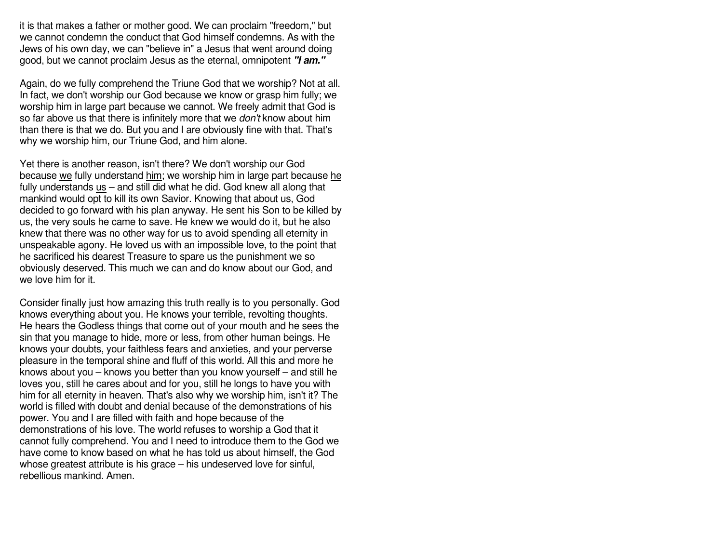it is that makes a father or mother good. We can proclaim "freedom," but we cannot condemn the conduct that God himself condemns. As with the Jews of his own day, we can "believe in" a Jesus that went around doing good, but we cannot proclaim Jesus as the eternal, omnipotent **"I am."**

Again, do we fully comprehend the Triune God that we worship? Not at all. In fact, we don't worship our God because we know or grasp him fully; we worship him in large part because we cannot. We freely admit that God is so far above us that there is infinitely more that we *don't* know about him than there is that we do. But you and I are obviously fine with that. That's why we worship him, our Triune God, and him alone.

Yet there is another reason, isn't there? We don't worship our God because we fully understand him; we worship him in large part because he fully understands us – and still did what he did. God knew all along that mankind would opt to kill its own Savior. Knowing that about us, God decided to go forward with his plan anyway. He sent his Son to be killed by us, the very souls he came to save. He knew we would do it, but he also knew that there was no other way for us to avoid spending all eternity in unspeakable agony. He loved us with an impossible love, to the point that he sacrificed his dearest Treasure to spare us the punishment we so obviously deserved. This much we can and do know about our God, and we love him for it.

Consider finally just how amazing this truth really is to you personally. God knows everything about you. He knows your terrible, revolting thoughts. He hears the Godless things that come out of your mouth and he sees the sin that you manage to hide, more or less, from other human beings. He knows your doubts, your faithless fears and anxieties, and your perverse pleasure in the temporal shine and fluff of this world. All this and more he knows about you – knows you better than you know yourself – and still he loves you, still he cares about and for you, still he longs to have you with him for all eternity in heaven. That's also why we worship him, isn't it? The world is filled with doubt and denial because of the demonstrations of his power. You and I are filled with faith and hope because of the demonstrations of his love. The world refuses to worship a God that it cannot fully comprehend. You and I need to introduce them to the God we have come to know based on what he has told us about himself, the God whose greatest attribute is his grace – his undeserved love for sinful, rebellious mankind. Amen.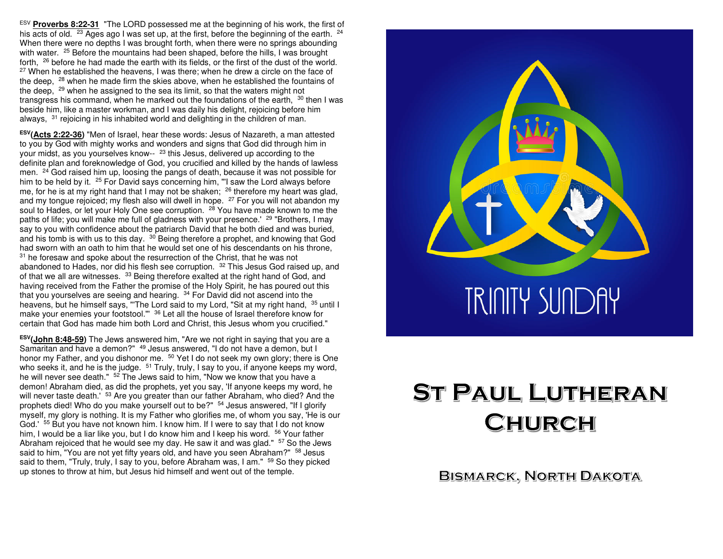ESV **Proverbs 8:22-31** "The LORD possessed me at the beginning of his work, the first of his acts of old. <sup>23</sup> Ages ago I was set up, at the first, before the beginning of the earth. <sup>24</sup> When there were no depths I was brought forth, when there were no springs abounding with water. <sup>25</sup> Before the mountains had been shaped, before the hills, I was brought forth,  $^{26}$  before he had made the earth with its fields, or the first of the dust of the world.  $27$  When he established the heavens, I was there; when he drew a circle on the face of the deep, <sup>28</sup> when he made firm the skies above, when he established the fountains of the deep, <sup>29</sup> when he assigned to the sea its limit, so that the waters might not transgress his command, when he marked out the foundations of the earth, <sup>30</sup> then I was beside him, like a master workman, and I was daily his delight, rejoicing before him always.  $31$  rejoicing in his inhabited world and delighting in the children of man.

**ESV(Acts 2:22-36)** "Men of Israel, hear these words: Jesus of Nazareth, a man attested to you by God with mighty works and wonders and signs that God did through him in your midst, as you yourselves know-- <sup>23</sup> this Jesus, delivered up according to the definite plan and foreknowledge of God, you crucified and killed by the hands of lawless men. <sup>24</sup> God raised him up, loosing the pangs of death, because it was not possible for him to be held by it. <sup>25</sup> For David says concerning him, "'I saw the Lord always before me, for he is at my right hand that I may not be shaken; <sup>26</sup> therefore my heart was glad, and my tongue rejoiced; my flesh also will dwell in hope. <sup>27</sup> For you will not abandon my soul to Hades, or let your Holy One see corruption. <sup>28</sup> You have made known to me the paths of life; you will make me full of gladness with your presence.' <sup>29</sup> "Brothers, I may say to you with confidence about the patriarch David that he both died and was buried, and his tomb is with us to this day. <sup>30</sup> Being therefore a prophet, and knowing that God had sworn with an oath to him that he would set one of his descendants on his throne, $31$  he foresaw and spoke about the resurrection of the Christ, that he was not abandoned to Hades, nor did his flesh see corruption. <sup>32</sup> This Jesus God raised up, and of that we all are witnesses. <sup>33</sup> Being therefore exalted at the right hand of God, and having received from the Father the promise of the Holy Spirit, he has poured out this that you yourselves are seeing and hearing. <sup>34</sup> For David did not ascend into the heavens, but he himself says, "'The Lord said to my Lord, "Sit at my right hand,  $\,{}^{35}$  until I make your enemies your footstool."' <sup>36</sup> Let all the house of Israel therefore know for certain that God has made him both Lord and Christ, this Jesus whom you crucified."

**ESV(John 8:48-59)** The Jews answered him, "Are we not right in saying that you are a Samaritan and have a demon?" <sup>49</sup> Jesus answered, "I do not have a demon, but I honor my Father, and you dishonor me. <sup>50</sup> Yet I do not seek my own glory; there is One who seeks it, and he is the judge. <sup>51</sup> Truly, truly, I say to you, if anyone keeps my word, he will never see death." <sup>52</sup> The Jews said to him, "Now we know that you have a demon! Abraham died, as did the prophets, yet you say, 'If anyone keeps my word, he will never taste death.' <sup>53</sup> Are you greater than our father Abraham, who died? And the prophets died! Who do you make yourself out to be?" <sup>54</sup> Jesus answered, "If I glorify myself, my glory is nothing. It is my Father who glorifies me, of whom you say, 'He is our God.' <sup>55</sup> But you have not known him. I know him. If I were to say that I do not know him, I would be a liar like you, but I do know him and I keep his word. <sup>56</sup> Your father Abraham rejoiced that he would see my day. He saw it and was glad." <sup>57</sup> So the Jews said to him, "You are not yet fifty years old, and have you seen Abraham?"  $\,{}^{58}$  Jesus said to them, "Truly, truly, I say to you, before Abraham was, I am." <sup>59</sup> So they picked up stones to throw at him, but Jesus hid himself and went out of the temple.



# **ST PAUL LUTHERAN** CHURCH

BISMARCK, NORTH DAKOTA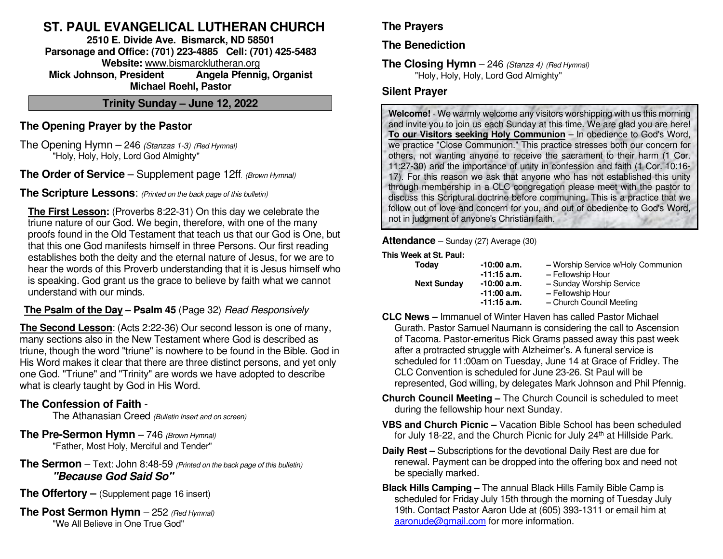# **ST. PAUL EVANGELICAL LUTHERAN CHURCH**

**2510 E. Divide Ave. Bismarck, ND 58501 Parsonage and Office: (701) 223-4885 Cell: (701) 425-5483 Website:** www.bismarcklutheran.org **Mick Johnson, President Angela Pfennig, Organist Michael Roehl, Pastor** 

**Trinity Sunday – June 12, 2022** 

# **The Opening Prayer by the Pastor**

The Opening Hymn – 246 (Stanzas 1-3) (Red Hymnal) "Holy, Holy, Holy, Lord God Almighty"

**The Order of Service** – Supplement page 12ff. (Brown Hymnal)

**The Scripture Lessons**: (Printed on the back page of this bulletin)

**The First Lesson:** (Proverbs 8:22-31) On this day we celebrate the triune nature of our God. We begin, therefore, with one of the many proofs found in the Old Testament that teach us that our God is One, but that this one God manifests himself in three Persons. Our first reading establishes both the deity and the eternal nature of Jesus, for we are to hear the words of this Proverb understanding that it is Jesus himself who is speaking. God grant us the grace to believe by faith what we cannot understand with our minds.

# **The Psalm of the Day – Psalm 45** (Page 32) Read Responsively

**The Second Lesson**: (Acts 2:22-36) Our second lesson is one of many, many sections also in the New Testament where God is described as triune, though the word "triune" is nowhere to be found in the Bible. God in His Word makes it clear that there are three distinct persons, and yet only one God. "Triune" and "Trinity" are words we have adopted to describe what is clearly taught by God in His Word.

# **The Confession of Faith** -

The Athanasian Creed (Bulletin Insert and on screen)

- **The Pre-Sermon Hymn** 746 (Brown Hymnal) "Father, Most Holy, Merciful and Tender"
- **The Sermon** Text: John 8:48-59 (Printed on the back page of this bulletin)  **"Because God Said So"**
- **The Offertory (Supplement page 16 insert)**
- **The Post Sermon Hymn** 252 (Red Hymnal) "We All Believe in One True God"

# **The Prayers**

**The Benediction**

**The Closing Hymn** – 246 (Stanza 4) (Red Hymnal) "Holy, Holy, Holy, Lord God Almighty"

### **Silent Prayer**

**Welcome!** - We warmly welcome any visitors worshipping with us this morning and invite you to join us each Sunday at this time. We are glad you are here! **To our Visitors seeking Holy Communion** – In obedience to God's Word, we practice "Close Communion." This practice stresses both our concern for others, not wanting anyone to receive the sacrament to their harm (1 Cor. 11:27-30) and the importance of unity in confession and faith (1 Cor. 10:16- 17). For this reason we ask that anyone who has not established this unity through membership in a CLC congregation please meet with the pastor to discuss this Scriptural doctrine before communing. This is a practice that we follow out of love and concern for you, and out of obedience to God's Word, not in judgment of anyone's Christian faith.

**Attendance** – Sunday (27) Average (30)

#### **This Week at St. Paul:**

- 
- **Today** -10:00 **a.m.** Worship Service w/Holy Communion
	- **-11:15 a.m. –** Fellowship Hour
- **Next Sunday -10:00 a.m.** Sunday Worship Service
	- **-11:00 a.m.** Fellowship Hour<br>**-11:15 a.m.** Church Council N
	- **-11:15 a.m.** Church Council Meeting
- **CLC News** Immanuel of Winter Haven has called Pastor Michael Gurath. Pastor Samuel Naumann is considering the call to Ascension of Tacoma. Pastor-emeritus Rick Grams passed away this past week after a protracted struggle with Alzheimer's. A funeral service is scheduled for 11:00am on Tuesday, June 14 at Grace of Fridley. The CLC Convention is scheduled for June 23-26. St Paul will be represented, God willing, by delegates Mark Johnson and Phil Pfennig.
- **Church Council Meeting** The Church Council is scheduled to meet during the fellowship hour next Sunday.
- **VBS and Church Picnic –** Vacation Bible School has been scheduled for July 18-22, and the Church Picnic for July 24<sup>th</sup> at Hillside Park.
- **Daily Rest** Subscriptions for the devotional Daily Rest are due for renewal. Payment can be dropped into the offering box and need not be specially marked.
- **Black Hills Camping** The annual Black Hills Family Bible Camp is scheduled for Friday July 15th through the morning of Tuesday July 19th. Contact Pastor Aaron Ude at (605) 393-1311 or email him at aaronude@gmail.com for more information.